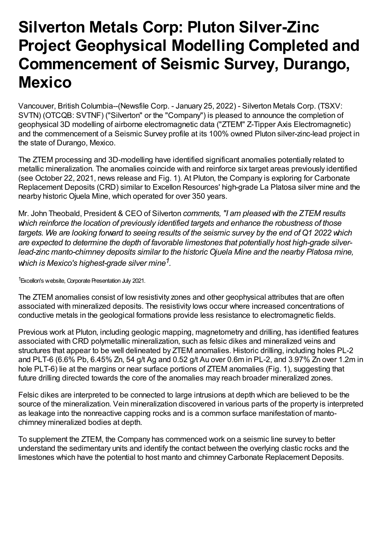# **Silverton Metals Corp: Pluton Silver-Zinc Project Geophysical Modelling Completed and Commencement of Seismic Survey, Durango, Mexico**

Vancouver, British Columbia--(Newsfile Corp. - January 25, 2022) - Silverton Metals Corp. (TSXV: SVTN) (OTCQB: SVTNF) ("Silverton" or the "Company") is pleased to announce the completion of geophysical 3D modelling of airborne electromagnetic data ("ZTEM" Z-Tipper Axis Electromagnetic) and the commencement of a Seismic Survey profile at its 100% owned Pluton silver-zinc-lead project in the state of Durango, Mexico.

The ZTEM processing and 3D-modelling have identified significant anomalies potentially related to metallic mineralization. The anomalies coincide with and reinforce six target areas previously identified (see October 22, 2021, news release and Fig. 1). At Pluton, the Company is exploring for Carbonate Replacement Deposits (CRD) similar to Excellon Resources' high-grade La Platosa silver mine and the nearby historic Ojuela Mine, which operated for over 350 years.

Mr. John Theobald, President & CEO of Silverton *comments, "I am pleased with the ZTEM results which reinforce the location of previously identified targets and enhance the robustness of those* targets. We are looking forward to seeing results of the seismic survey by the end of Q1 2022 which *are expected to determine the depth of favorable limestones that potentially host high-grade silverlead-zinc manto-chimney deposits similar to the historic Ojuela Mine and the nearby Platosa mine, which is Mexico's highest-grade silver mine 1 .*

1Excellon's website, Corporate Presentation July 2021.

The ZTEM anomalies consist of low resistivity zones and other geophysical attributes that are often associated with mineralized deposits. The resistivity lows occur where increased concentrations of conductive metals in the geological formations provide less resistance to electromagnetic fields.

Previous work at Pluton, including geologic mapping, magnetometry and drilling, has identified features associated with CRD polymetallic mineralization, such as felsic dikes and mineralized veins and structures that appear to be well delineated by ZTEM anomalies. Historic drilling, including holes PL-2 and PLT-6 (6.6% Pb, 6.45% Zn, 54 g/t Ag and 0.52 g/t Au over 0.6m in PL-2, and 3.97% Zn over 1.2m in hole PLT-6) lie at the margins or near surface portions of ZTEM anomalies (Fig. 1), suggesting that future drilling directed towards the core of the anomalies may reach broader mineralized zones.

Felsic dikes are interpreted to be connected to large intrusions at depth which are believed to be the source of the mineralization. Vein mineralization discovered in various parts of the property is interpreted as leakage into the nonreactive capping rocks and is a common surface manifestation of mantochimney mineralized bodies at depth.

To supplement the ZTEM, the Company has commenced work on a seismic line survey to better understand the sedimentary units and identify the contact between the overlying clastic rocks and the limestones which have the potential to host manto and chimney Carbonate Replacement Deposits.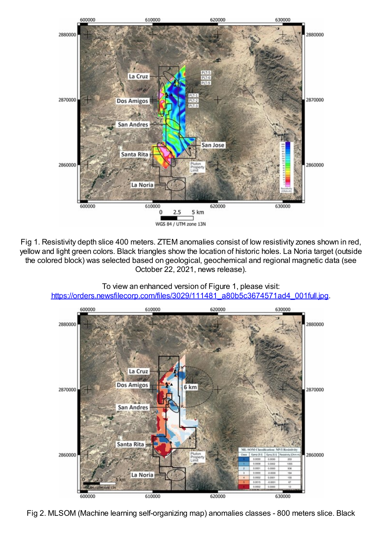

Fig 1. Resistivity depth slice 400 meters. ZTEM anomalies consist of low resistivity zones shown in red, yellow and light green colors. Black triangles show the location of historic holes. La Noria target (outside the colored block) was selected based on geological, geochemical and regional magnetic data (see October 22, 2021, news release).



To view an enhanced version of Figure 1, please visit: https://orders.newsfilecorp.com/files/3029/111481\_a80b5c3674571ad4\_001full.jpg.

Fig 2. MLSOM (Machine learning self-organizing map) anomalies classes - 800 meters slice. Black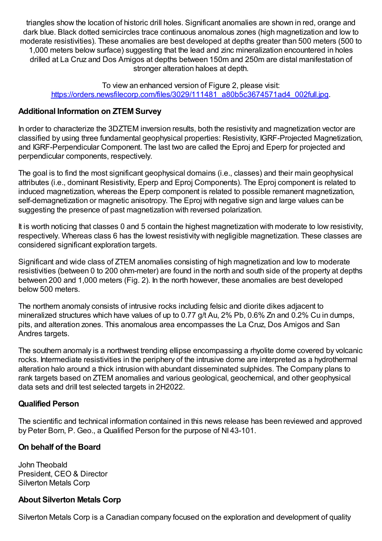triangles show the location of historic drill holes. Significant anomalies are shown in red, orange and dark blue. Black dotted semicircles trace continuous anomalous zones (high magnetization and low to moderate resistivities). These anomalies are best developed at depths greater than 500 meters (500 to 1,000 meters below surface) suggesting that the lead and zinc mineralization encountered in holes drilled at La Cruz and Dos Amigos at depths between 150m and 250m are distal manifestation of stronger alteration haloes at depth.

To view an enhanced version of Figure 2, please visit: https://orders.newsfilecorp.com/files/3029/111481\_a80b5c3674571ad4\_002full.jpg.

#### **Additional Information on ZTEM Survey**

In order to characterize the 3DZTEM inversion results, both the resistivity and magnetization vector are classified by using three fundamental geophysical properties: Resistivity, IGRF-Projected Magnetization, and IGRF-Perpendicular Component. The last two are called the Eproj and Eperp for projected and perpendicular components, respectively.

The goal is to find the most significant geophysical domains (i.e., classes) and their main geophysical attributes (i.e., dominant Resistivity, Eperp and Eproj Components). The Eproj component is related to induced magnetization, whereas the Eperp component is related to possible remanent magnetization, self-demagnetization or magnetic anisotropy. The Eproj with negative sign and large values can be suggesting the presence of past magnetization with reversed polarization.

It is worth noticing that classes 0 and 5 contain the highest magnetization with moderate to low resistivity, respectively. Whereas class 6 has the lowest resistivity with negligible magnetization. These classes are considered significant exploration targets.

Significant and wide class of ZTEM anomalies consisting of high magnetization and low to moderate resistivities (between 0 to 200 ohm-meter) are found in the north and south side of the property at depths between 200 and 1,000 meters (Fig. 2). In the north however, these anomalies are best developed below 500 meters.

The northern anomaly consists of intrusive rocks including felsic and diorite dikes adjacent to mineralized structures which have values of up to 0.77 g/t Au, 2% Pb, 0.6% Zn and 0.2% Cu in dumps, pits, and alteration zones. This anomalous area encompasses the La Cruz, Dos Amigos and San Andres targets.

The southern anomaly is a northwest trending ellipse encompassing a rhyolite dome covered by volcanic rocks. Intermediate resistivities in the periphery of the intrusive dome are interpreted as a hydrothermal alteration halo around a thick intrusion with abundant disseminated sulphides. The Company plans to rank targets based on ZTEM anomalies and various geological, geochemical, and other geophysical data sets and drill test selected targets in 2H2022.

#### **Qualified Person**

The scientific and technical information contained in this news release has been reviewed and approved by Peter Born, P. Geo., a Qualified Person for the purpose of NI 43-101.

# **On behalf of the Board**

John Theobald President, CEO & Director Silverton Metals Corp

#### **About Silverton Metals Corp**

Silverton Metals Corp is a Canadian company focused on the exploration and development of quality